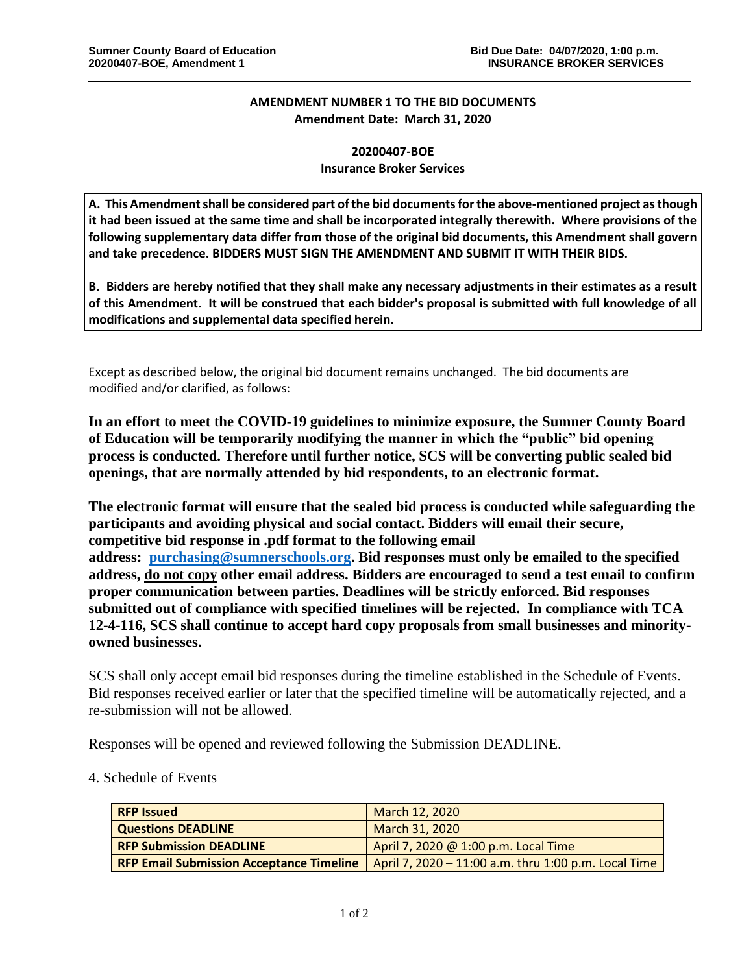## **AMENDMENT NUMBER 1 TO THE BID DOCUMENTS Amendment Date: March 31, 2020**

\_\_\_\_\_\_\_\_\_\_\_\_\_\_\_\_\_\_\_\_\_\_\_\_\_\_\_\_\_\_\_\_\_\_\_\_\_\_\_\_\_\_\_\_\_\_\_\_\_\_\_\_\_\_\_\_\_\_\_\_\_\_\_\_\_\_\_\_\_\_\_\_\_\_\_\_\_\_\_\_\_\_\_\_\_\_\_\_\_\_\_\_\_\_\_\_\_\_

## **20200407-BOE Insurance Broker Services**

**A. This Amendment shall be considered part of the bid documents for the above-mentioned project as though it had been issued at the same time and shall be incorporated integrally therewith. Where provisions of the following supplementary data differ from those of the original bid documents, this Amendment shall govern and take precedence. BIDDERS MUST SIGN THE AMENDMENT AND SUBMIT IT WITH THEIR BIDS.**

**B. Bidders are hereby notified that they shall make any necessary adjustments in their estimates as a result of this Amendment. It will be construed that each bidder's proposal is submitted with full knowledge of all modifications and supplemental data specified herein.**

Except as described below, the original bid document remains unchanged. The bid documents are modified and/or clarified, as follows:

**In an effort to meet the COVID-19 guidelines to minimize exposure, the Sumner County Board of Education will be temporarily modifying the manner in which the "public" bid opening process is conducted. Therefore until further notice, SCS will be converting public sealed bid openings, that are normally attended by bid respondents, to an electronic format.**

**The electronic format will ensure that the sealed bid process is conducted while safeguarding the participants and avoiding physical and social contact. Bidders will email their secure, competitive bid response in .pdf format to the following email address: [purchasing@sumnerschools.org.](mailto:purchasing@sumnerschools.org) Bid responses must only be emailed to the specified address, do not copy other email address. Bidders are encouraged to send a test email to confirm proper communication between parties. Deadlines will be strictly enforced. Bid responses submitted out of compliance with specified timelines will be rejected. In compliance with TCA 12-4-116, SCS shall continue to accept hard copy proposals from small businesses and minorityowned businesses.**

SCS shall only accept email bid responses during the timeline established in the Schedule of Events. Bid responses received earlier or later that the specified timeline will be automatically rejected, and a re-submission will not be allowed.

Responses will be opened and reviewed following the Submission DEADLINE.

## 4. Schedule of Events

| <b>RFP Issued</b>                               | March 12, 2020                                       |
|-------------------------------------------------|------------------------------------------------------|
| <b>Questions DEADLINE</b>                       | March 31, 2020                                       |
| <b>RFP Submission DEADLINE</b>                  | April 7, 2020 @ 1:00 p.m. Local Time                 |
| <b>RFP Email Submission Acceptance Timeline</b> | April 7, 2020 – 11:00 a.m. thru 1:00 p.m. Local Time |